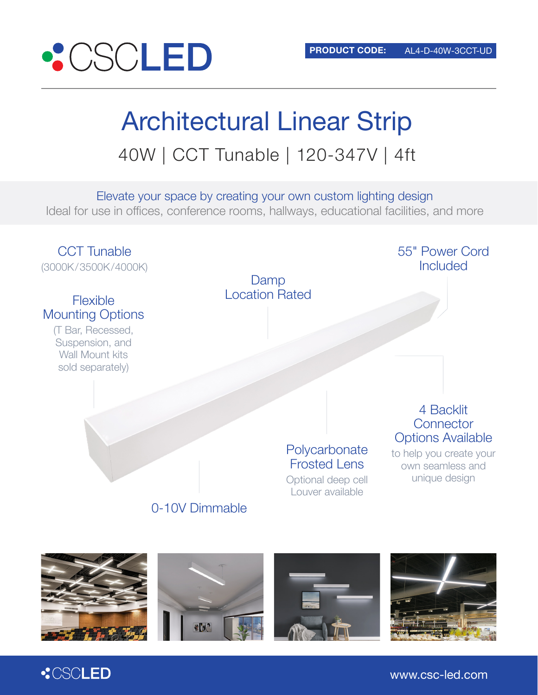

# Architectural Linear Strip 40W | CCT Tunable | 120-347V | 4ft

Elevate your space by creating your own custom lighting design Ideal for use in offices, conference rooms, hallways, educational facilities, and more